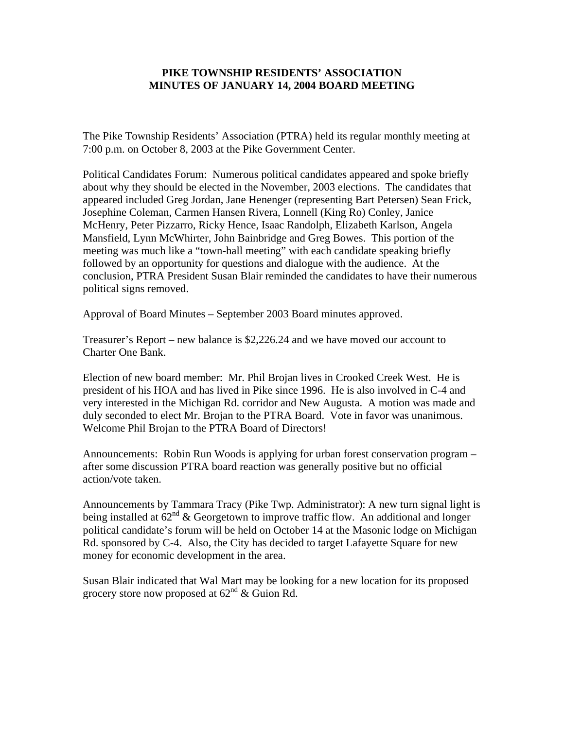## **PIKE TOWNSHIP RESIDENTS' ASSOCIATION MINUTES OF JANUARY 14, 2004 BOARD MEETING**

The Pike Township Residents' Association (PTRA) held its regular monthly meeting at 7:00 p.m. on October 8, 2003 at the Pike Government Center.

Political Candidates Forum: Numerous political candidates appeared and spoke briefly about why they should be elected in the November, 2003 elections. The candidates that appeared included Greg Jordan, Jane Henenger (representing Bart Petersen) Sean Frick, Josephine Coleman, Carmen Hansen Rivera, Lonnell (King Ro) Conley, Janice McHenry, Peter Pizzarro, Ricky Hence, Isaac Randolph, Elizabeth Karlson, Angela Mansfield, Lynn McWhirter, John Bainbridge and Greg Bowes. This portion of the meeting was much like a "town-hall meeting" with each candidate speaking briefly followed by an opportunity for questions and dialogue with the audience. At the conclusion, PTRA President Susan Blair reminded the candidates to have their numerous political signs removed.

Approval of Board Minutes – September 2003 Board minutes approved.

Treasurer's Report – new balance is \$2,226.24 and we have moved our account to Charter One Bank.

Election of new board member: Mr. Phil Brojan lives in Crooked Creek West. He is president of his HOA and has lived in Pike since 1996. He is also involved in C-4 and very interested in the Michigan Rd. corridor and New Augusta. A motion was made and duly seconded to elect Mr. Brojan to the PTRA Board. Vote in favor was unanimous. Welcome Phil Brojan to the PTRA Board of Directors!

Announcements: Robin Run Woods is applying for urban forest conservation program – after some discussion PTRA board reaction was generally positive but no official action/vote taken.

Announcements by Tammara Tracy (Pike Twp. Administrator): A new turn signal light is being installed at  $62^{nd}$  & Georgetown to improve traffic flow. An additional and longer political candidate's forum will be held on October 14 at the Masonic lodge on Michigan Rd. sponsored by C-4. Also, the City has decided to target Lafayette Square for new money for economic development in the area.

Susan Blair indicated that Wal Mart may be looking for a new location for its proposed grocery store now proposed at  $62<sup>nd</sup>$  & Guion Rd.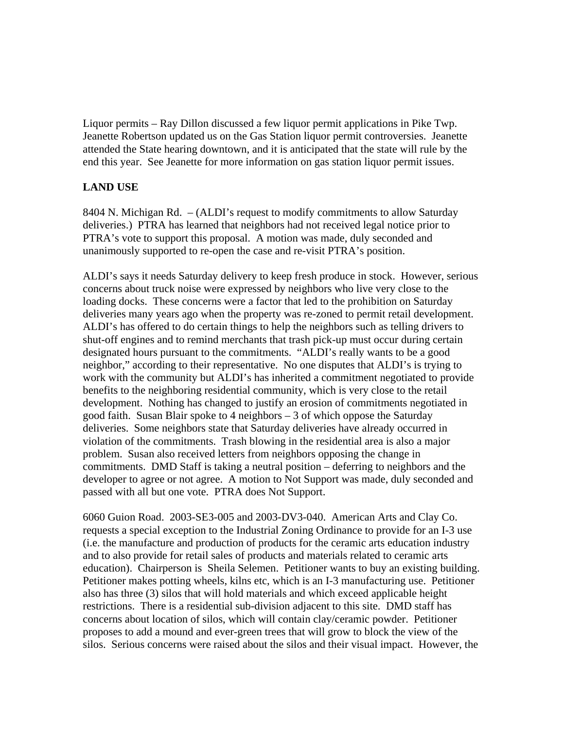Liquor permits – Ray Dillon discussed a few liquor permit applications in Pike Twp. Jeanette Robertson updated us on the Gas Station liquor permit controversies. Jeanette attended the State hearing downtown, and it is anticipated that the state will rule by the end this year. See Jeanette for more information on gas station liquor permit issues.

## **LAND USE**

8404 N. Michigan Rd. – (ALDI's request to modify commitments to allow Saturday deliveries.) PTRA has learned that neighbors had not received legal notice prior to PTRA's vote to support this proposal. A motion was made, duly seconded and unanimously supported to re-open the case and re-visit PTRA's position.

ALDI's says it needs Saturday delivery to keep fresh produce in stock. However, serious concerns about truck noise were expressed by neighbors who live very close to the loading docks. These concerns were a factor that led to the prohibition on Saturday deliveries many years ago when the property was re-zoned to permit retail development. ALDI's has offered to do certain things to help the neighbors such as telling drivers to shut-off engines and to remind merchants that trash pick-up must occur during certain designated hours pursuant to the commitments. "ALDI's really wants to be a good neighbor," according to their representative. No one disputes that ALDI's is trying to work with the community but ALDI's has inherited a commitment negotiated to provide benefits to the neighboring residential community, which is very close to the retail development. Nothing has changed to justify an erosion of commitments negotiated in good faith. Susan Blair spoke to 4 neighbors – 3 of which oppose the Saturday deliveries. Some neighbors state that Saturday deliveries have already occurred in violation of the commitments. Trash blowing in the residential area is also a major problem. Susan also received letters from neighbors opposing the change in commitments. DMD Staff is taking a neutral position – deferring to neighbors and the developer to agree or not agree. A motion to Not Support was made, duly seconded and passed with all but one vote. PTRA does Not Support.

6060 Guion Road. 2003-SE3-005 and 2003-DV3-040. American Arts and Clay Co. requests a special exception to the Industrial Zoning Ordinance to provide for an I-3 use (i.e. the manufacture and production of products for the ceramic arts education industry and to also provide for retail sales of products and materials related to ceramic arts education). Chairperson is Sheila Selemen. Petitioner wants to buy an existing building. Petitioner makes potting wheels, kilns etc, which is an I-3 manufacturing use. Petitioner also has three (3) silos that will hold materials and which exceed applicable height restrictions. There is a residential sub-division adjacent to this site. DMD staff has concerns about location of silos, which will contain clay/ceramic powder. Petitioner proposes to add a mound and ever-green trees that will grow to block the view of the silos. Serious concerns were raised about the silos and their visual impact. However, the